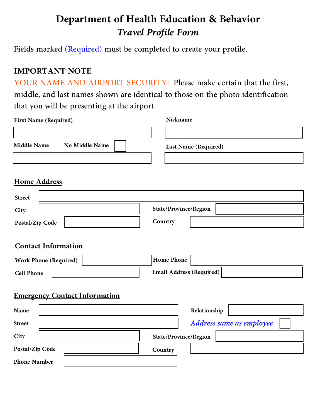# **Department of Health Education & Behavior** *Travel Profile Form*

Fields marked (Required) must be completed to create your profile.

**IMPORTANT NOTE** YOUR NAME AND AIRPORT SECURITY: Please make certain that the first, middle, and last names shown are identical to those on the photo identification that you will be presenting at the airport.

| <b>First Name (Required)</b>                                                    | Nickname                                             |
|---------------------------------------------------------------------------------|------------------------------------------------------|
| <b>No Middle Name</b><br><b>Middle Name</b>                                     | Last Name (Required)                                 |
| <b>Home Address</b>                                                             |                                                      |
| <b>Street</b>                                                                   |                                                      |
| City                                                                            | <b>State/Province/Region</b>                         |
| Postal/Zip Code                                                                 | Country                                              |
| <b>Contact Information</b><br><b>Work Phone (Required)</b><br><b>Cell Phone</b> | <b>Home Phone</b><br><b>Email Address (Required)</b> |
| <b>Emergency Contact Information</b>                                            |                                                      |
| Name                                                                            | Relationship                                         |
| <b>Street</b>                                                                   | Address same as employee                             |
| City                                                                            | State/Province/Region                                |
| Postal/Zip Code                                                                 | Country                                              |
| <b>Phone Number</b>                                                             |                                                      |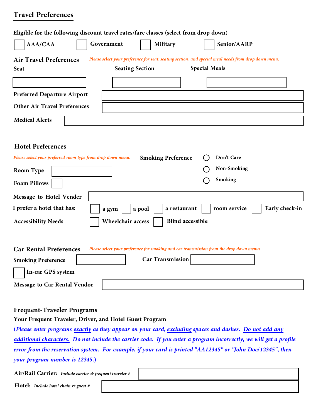## **Travel Preferences**

| Eligible for the following discount travel rates/fare classes (select from drop down)                                                 |  |  |
|---------------------------------------------------------------------------------------------------------------------------------------|--|--|
| Government<br>AAA/CAA<br>Military<br>Senior/AARP                                                                                      |  |  |
| <b>Air Travel Preferences</b><br>Please select your preference for seat, seating section, and special meal needs from drop down menu. |  |  |
| <b>Special Meals</b><br><b>Seating Section</b><br><b>Seat</b>                                                                         |  |  |
|                                                                                                                                       |  |  |
| <b>Preferred Departure Airport</b>                                                                                                    |  |  |
| <b>Other Air Travel Preferences</b>                                                                                                   |  |  |
| <b>Medical Alerts</b>                                                                                                                 |  |  |
|                                                                                                                                       |  |  |
| <b>Hotel Preferences</b>                                                                                                              |  |  |
| Don't Care<br>Please select your preferred room type from drop down menu.<br><b>Smoking Preference</b>                                |  |  |
| <b>Non-Smoking</b><br><b>Room Type</b>                                                                                                |  |  |
| <b>Smoking</b><br><b>Foam Pillows</b>                                                                                                 |  |  |
| Message to Hotel Vender                                                                                                               |  |  |
| I prefer a hotel that has:<br>a restaurant<br>room service<br>Early check-in<br>a gym<br>a pool                                       |  |  |
| <b>Blind accessible</b><br>Wheelchair access<br><b>Accessibility Needs</b>                                                            |  |  |
|                                                                                                                                       |  |  |
| <b>Car Rental Preferences</b><br>Please select your preference for smoking and car transmission from the drop down menus.             |  |  |
| <b>Car Transmission</b><br><b>Smoking Preference</b>                                                                                  |  |  |
| In-car GPS system                                                                                                                     |  |  |
| <b>Message to Car Rental Vendor</b>                                                                                                   |  |  |
|                                                                                                                                       |  |  |

## **Frequent-Traveler Programs Your Frequent Traveler, Driver, and Hotel Guest Program**

(Please enter programs <u>exactly</u> as they appear on your card, <u>excluding</u> spaces and dashes. <u>Do not add any</u><br>additional characters. Do not include the carrier code. If you enter a program incorrectly, we will get a profil

**Air/Rail Carrier:** *Include carrier & frequent traveler #*

**Hotel:** *Include hotel chain & guest #*